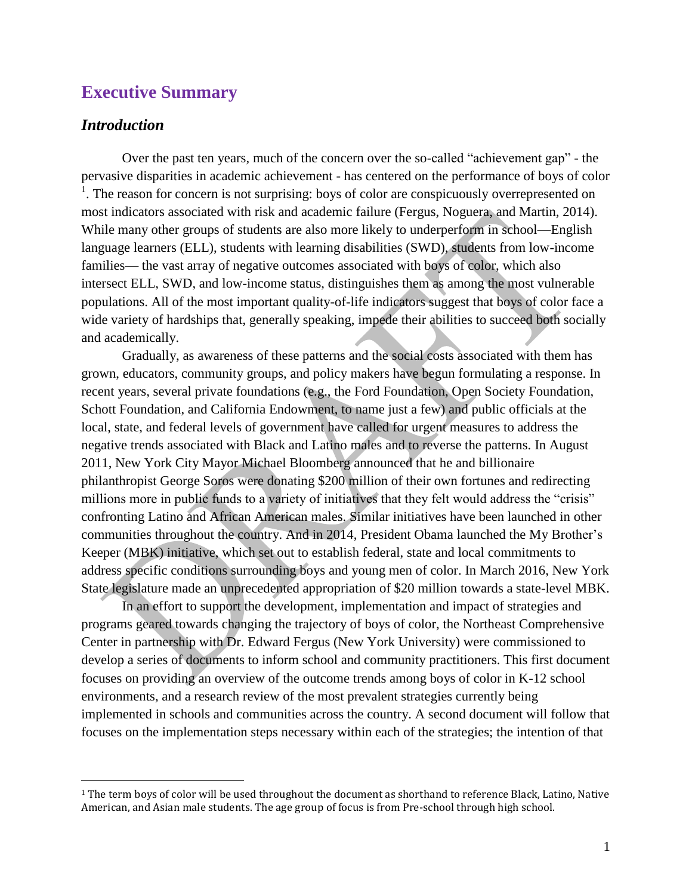# **Executive Summary**

#### *Introduction*

 $\overline{a}$ 

Over the past ten years, much of the concern over the so-called "achievement gap" - the pervasive disparities in academic achievement - has centered on the performance of boys of color  $<sup>1</sup>$ . The reason for concern is not surprising: boys of color are conspicuously overrepresented on</sup> most indicators associated with risk and academic failure (Fergus, Noguera, and Martin, 2014). While many other groups of students are also more likely to underperform in school—English language learners (ELL), students with learning disabilities (SWD), students from low-income families— the vast array of negative outcomes associated with boys of color, which also intersect ELL, SWD, and low-income status, distinguishes them as among the most vulnerable populations. All of the most important quality-of-life indicators suggest that boys of color face a wide variety of hardships that, generally speaking, impede their abilities to succeed both socially and academically.

Gradually, as awareness of these patterns and the social costs associated with them has grown, educators, community groups, and policy makers have begun formulating a response. In recent years, several private foundations (e.g., the Ford Foundation, Open Society Foundation, Schott Foundation, and California Endowment, to name just a few) and public officials at the local, state, and federal levels of government have called for urgent measures to address the negative trends associated with Black and Latino males and to reverse the patterns. In August 2011, New York City Mayor Michael Bloomberg announced that he and billionaire philanthropist George Soros were donating \$200 million of their own fortunes and redirecting millions more in public funds to a variety of initiatives that they felt would address the "crisis" confronting Latino and African American males. Similar initiatives have been launched in other communities throughout the country. And in 2014, President Obama launched the My Brother's Keeper (MBK) initiative, which set out to establish federal, state and local commitments to address specific conditions surrounding boys and young men of color. In March 2016, New York State legislature made an unprecedented appropriation of \$20 million towards a state-level MBK.

In an effort to support the development, implementation and impact of strategies and programs geared towards changing the trajectory of boys of color, the Northeast Comprehensive Center in partnership with Dr. Edward Fergus (New York University) were commissioned to develop a series of documents to inform school and community practitioners. This first document focuses on providing an overview of the outcome trends among boys of color in K-12 school environments, and a research review of the most prevalent strategies currently being implemented in schools and communities across the country. A second document will follow that focuses on the implementation steps necessary within each of the strategies; the intention of that

<sup>1</sup> The term boys of color will be used throughout the document as shorthand to reference Black, Latino, Native American, and Asian male students. The age group of focus is from Pre-school through high school.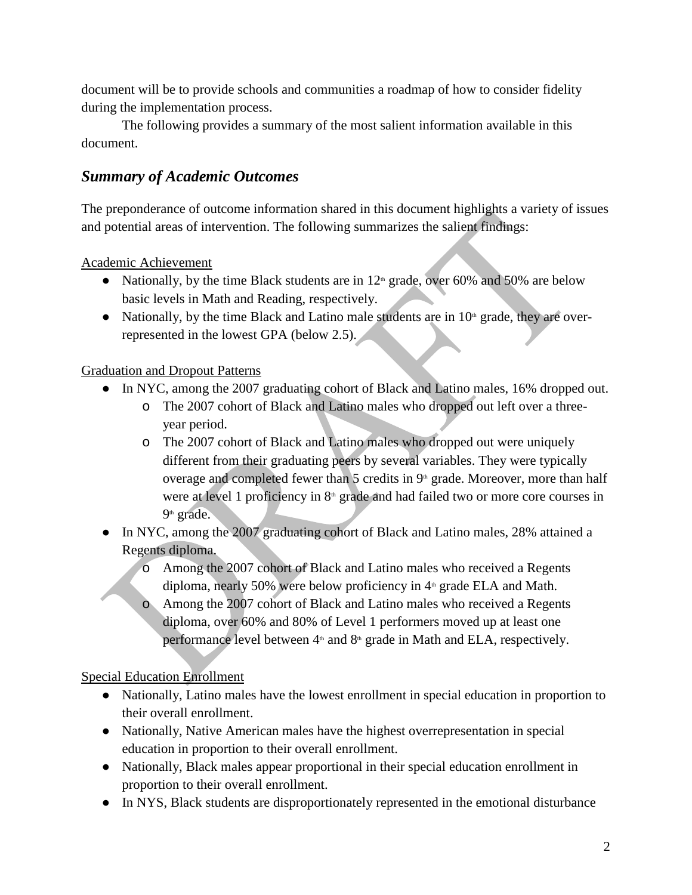document will be to provide schools and communities a roadmap of how to consider fidelity during the implementation process.

The following provides a summary of the most salient information available in this document.

# *Summary of Academic Outcomes*

The preponderance of outcome information shared in this document highlights a variety of issues and potential areas of intervention. The following summarizes the salient findings:

Academic Achievement

- Nationally, by the time Black students are in  $12<sup>th</sup>$  grade, over 60% and 50% are below basic levels in Math and Reading, respectively.
- Nationally, by the time Black and Latino male students are in  $10<sup>th</sup>$  grade, they are overrepresented in the lowest GPA (below 2.5).

### Graduation and Dropout Patterns

- In NYC, among the 2007 graduating cohort of Black and Latino males, 16% dropped out.
	- o The 2007 cohort of Black and Latino males who dropped out left over a threeyear period.
	- o The 2007 cohort of Black and Latino males who dropped out were uniquely different from their graduating peers by several variables. They were typically overage and completed fewer than 5 credits in 9<sup>th</sup> grade. Moreover, more than half were at level 1 proficiency in  $8<sup>th</sup>$  grade and had failed two or more core courses in 9<sup>th</sup> grade.
- In NYC, among the 2007 graduating cohort of Black and Latino males, 28% attained a Regents diploma.
	- o Among the 2007 cohort of Black and Latino males who received a Regents diploma, nearly 50% were below proficiency in  $4<sup>th</sup>$  grade ELA and Math.
	- o Among the 2007 cohort of Black and Latino males who received a Regents diploma, over 60% and 80% of Level 1 performers moved up at least one performance level between  $4<sup>th</sup>$  and  $8<sup>th</sup>$  grade in Math and ELA, respectively.

Special Education Enrollment

- Nationally, Latino males have the lowest enrollment in special education in proportion to their overall enrollment.
- Nationally, Native American males have the highest overrepresentation in special education in proportion to their overall enrollment.
- Nationally, Black males appear proportional in their special education enrollment in proportion to their overall enrollment.
- In NYS, Black students are disproportionately represented in the emotional disturbance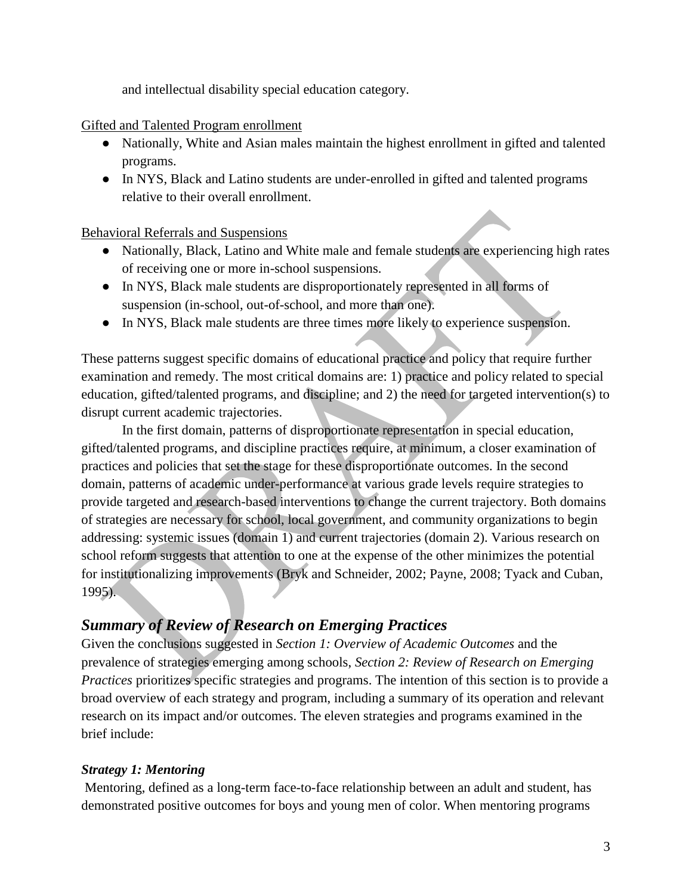and intellectual disability special education category.

#### Gifted and Talented Program enrollment

- Nationally, White and Asian males maintain the highest enrollment in gifted and talented programs.
- In NYS, Black and Latino students are under-enrolled in gifted and talented programs relative to their overall enrollment.

### Behavioral Referrals and Suspensions

- Nationally, Black, Latino and White male and female students are experiencing high rates of receiving one or more in-school suspensions.
- In NYS, Black male students are disproportionately represented in all forms of suspension (in-school, out-of-school, and more than one).
- In NYS, Black male students are three times more likely to experience suspension.

These patterns suggest specific domains of educational practice and policy that require further examination and remedy. The most critical domains are: 1) practice and policy related to special education, gifted/talented programs, and discipline; and 2) the need for targeted intervention(s) to disrupt current academic trajectories.

In the first domain, patterns of disproportionate representation in special education, gifted/talented programs, and discipline practices require, at minimum, a closer examination of practices and policies that set the stage for these disproportionate outcomes. In the second domain, patterns of academic under-performance at various grade levels require strategies to provide targeted and research-based interventions to change the current trajectory. Both domains of strategies are necessary for school, local government, and community organizations to begin addressing: systemic issues (domain 1) and current trajectories (domain 2). Various research on school reform suggests that attention to one at the expense of the other minimizes the potential for institutionalizing improvements (Bryk and Schneider, 2002; Payne, 2008; Tyack and Cuban, 1995).

# *Summary of Review of Research on Emerging Practices*

Given the conclusions suggested in *Section 1: Overview of Academic Outcomes* and the prevalence of strategies emerging among schools, *Section 2: Review of Research on Emerging Practices* prioritizes specific strategies and programs. The intention of this section is to provide a broad overview of each strategy and program, including a summary of its operation and relevant research on its impact and/or outcomes. The eleven strategies and programs examined in the brief include:

### *Strategy 1: Mentoring*

Mentoring, defined as a long-term face-to-face relationship between an adult and student, has demonstrated positive outcomes for boys and young men of color. When mentoring programs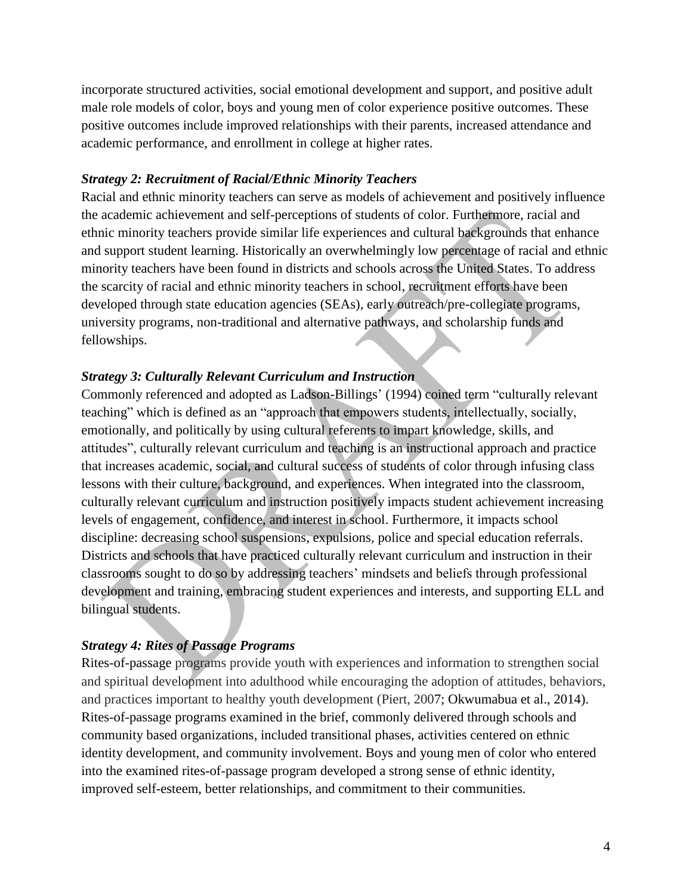incorporate structured activities, social emotional development and support, and positive adult male role models of color, boys and young men of color experience positive outcomes. These positive outcomes include improved relationships with their parents, increased attendance and academic performance, and enrollment in college at higher rates.

#### *Strategy 2: Recruitment of Racial/Ethnic Minority Teachers*

Racial and ethnic minority teachers can serve as models of achievement and positively influence the academic achievement and self-perceptions of students of color. Furthermore, racial and ethnic minority teachers provide similar life experiences and cultural backgrounds that enhance and support student learning. Historically an overwhelmingly low percentage of racial and ethnic minority teachers have been found in districts and schools across the United States. To address the scarcity of racial and ethnic minority teachers in school, recruitment efforts have been developed through state education agencies (SEAs), early outreach/pre-collegiate programs, university programs, non-traditional and alternative pathways, and scholarship funds and fellowships.

#### *Strategy 3: Culturally Relevant Curriculum and Instruction*

Commonly referenced and adopted as Ladson-Billings' (1994) coined term "culturally relevant teaching" which is defined as an "approach that empowers students, intellectually, socially, emotionally, and politically by using cultural referents to impart knowledge, skills, and attitudes", culturally relevant curriculum and teaching is an instructional approach and practice that increases academic, social, and cultural success of students of color through infusing class lessons with their culture, background, and experiences. When integrated into the classroom, culturally relevant curriculum and instruction positively impacts student achievement increasing levels of engagement, confidence, and interest in school. Furthermore, it impacts school discipline: decreasing school suspensions, expulsions, police and special education referrals. Districts and schools that have practiced culturally relevant curriculum and instruction in their classrooms sought to do so by addressing teachers' mindsets and beliefs through professional development and training, embracing student experiences and interests, and supporting ELL and bilingual students.

#### *Strategy 4: Rites of Passage Programs*

Rites-of-passage programs provide youth with experiences and information to strengthen social and spiritual development into adulthood while encouraging the adoption of attitudes, behaviors, and practices important to healthy youth development (Piert, 2007; Okwumabua et al., 2014). Rites-of-passage programs examined in the brief, commonly delivered through schools and community based organizations, included transitional phases, activities centered on ethnic identity development, and community involvement. Boys and young men of color who entered into the examined rites-of-passage program developed a strong sense of ethnic identity, improved self-esteem, better relationships, and commitment to their communities.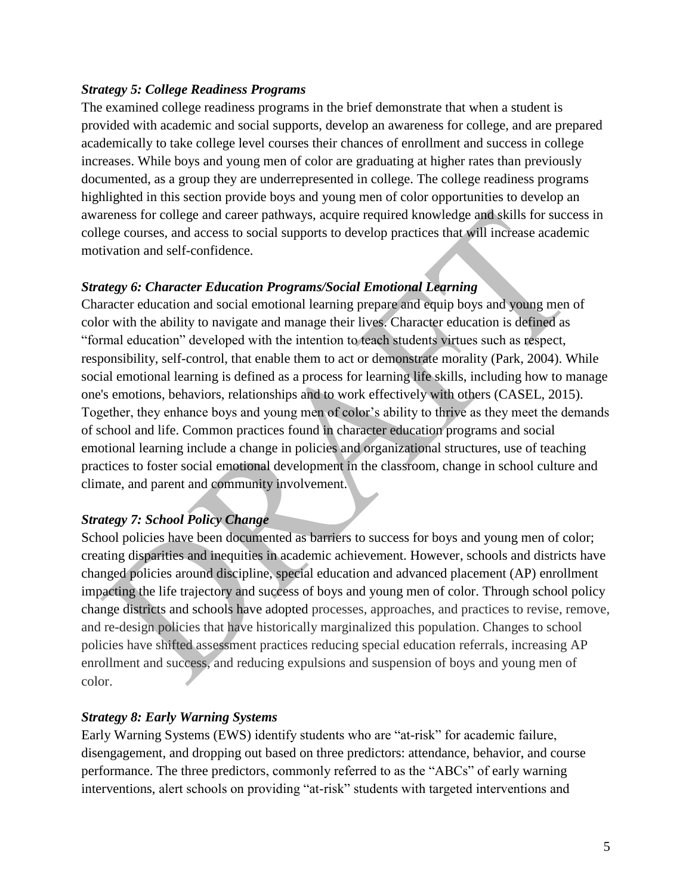#### *Strategy 5: College Readiness Programs*

The examined college readiness programs in the brief demonstrate that when a student is provided with academic and social supports, develop an awareness for college, and are prepared academically to take college level courses their chances of enrollment and success in college increases. While boys and young men of color are graduating at higher rates than previously documented, as a group they are underrepresented in college. The college readiness programs highlighted in this section provide boys and young men of color opportunities to develop an awareness for college and career pathways, acquire required knowledge and skills for success in college courses, and access to social supports to develop practices that will increase academic motivation and self-confidence.

#### *Strategy 6: Character Education Programs/Social Emotional Learning*

Character education and social emotional learning prepare and equip boys and young men of color with the ability to navigate and manage their lives. Character education is defined as "formal education" developed with the intention to teach students virtues such as respect, responsibility, self-control, that enable them to act or demonstrate morality (Park, 2004). While social emotional learning is defined as a process for learning life skills, including how to manage one's emotions, behaviors, relationships and to work effectively with others (CASEL, 2015). Together, they enhance boys and young men of color's ability to thrive as they meet the demands of school and life. Common practices found in character education programs and social emotional learning include a change in policies and organizational structures, use of teaching practices to foster social emotional development in the classroom, change in school culture and climate, and parent and community involvement.

### *Strategy 7: School Policy Change*

School policies have been documented as barriers to success for boys and young men of color; creating disparities and inequities in academic achievement. However, schools and districts have changed policies around discipline, special education and advanced placement (AP) enrollment impacting the life trajectory and success of boys and young men of color. Through school policy change districts and schools have adopted processes, approaches, and practices to revise, remove, and re-design policies that have historically marginalized this population. Changes to school policies have shifted assessment practices reducing special education referrals, increasing AP enrollment and success, and reducing expulsions and suspension of boys and young men of color.

#### *Strategy 8: Early Warning Systems*

Early Warning Systems (EWS) identify students who are "at-risk" for academic failure, disengagement, and dropping out based on three predictors: attendance, behavior, and course performance. The three predictors, commonly referred to as the "ABCs" of early warning interventions, alert schools on providing "at-risk" students with targeted interventions and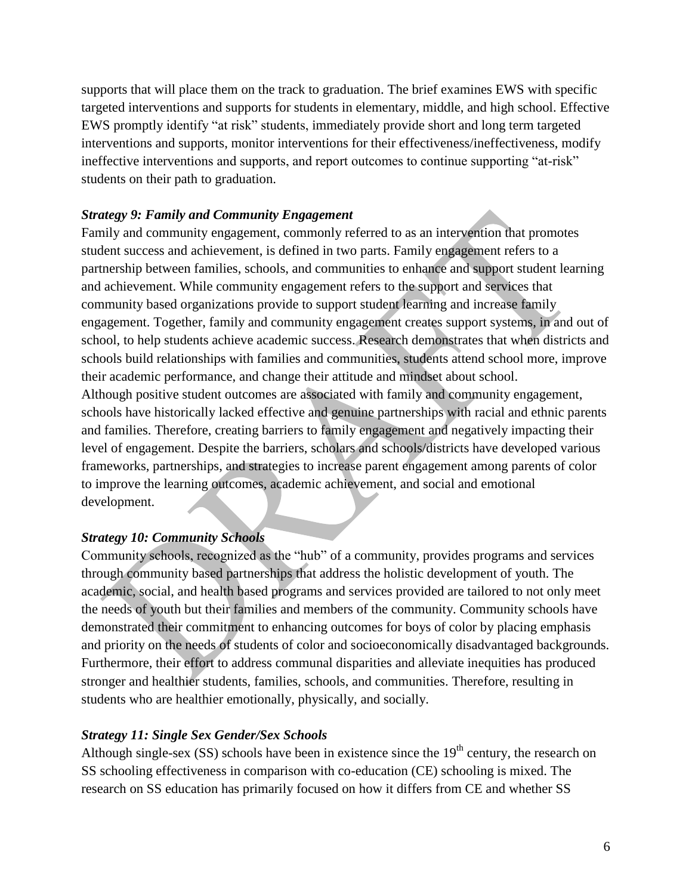supports that will place them on the track to graduation. The brief examines EWS with specific targeted interventions and supports for students in elementary, middle, and high school. Effective EWS promptly identify "at risk" students, immediately provide short and long term targeted interventions and supports, monitor interventions for their effectiveness/ineffectiveness, modify ineffective interventions and supports, and report outcomes to continue supporting "at-risk" students on their path to graduation.

### *Strategy 9: Family and Community Engagement*

Family and community engagement, commonly referred to as an intervention that promotes student success and achievement, is defined in two parts. Family engagement refers to a partnership between families, schools, and communities to enhance and support student learning and achievement. While community engagement refers to the support and services that community based organizations provide to support student learning and increase family engagement. Together, family and community engagement creates support systems, in and out of school, to help students achieve academic success. Research demonstrates that when districts and schools build relationships with families and communities, students attend school more, improve their academic performance, and change their attitude and mindset about school. Although positive student outcomes are associated with family and community engagement, schools have historically lacked effective and genuine partnerships with racial and ethnic parents and families. Therefore, creating barriers to family engagement and negatively impacting their level of engagement. Despite the barriers, scholars and schools/districts have developed various frameworks, partnerships, and strategies to increase parent engagement among parents of color to improve the learning outcomes, academic achievement, and social and emotional development.

### *Strategy 10: Community Schools*

Community schools, recognized as the "hub" of a community, provides programs and services through community based partnerships that address the holistic development of youth. The academic, social, and health based programs and services provided are tailored to not only meet the needs of youth but their families and members of the community. Community schools have demonstrated their commitment to enhancing outcomes for boys of color by placing emphasis and priority on the needs of students of color and socioeconomically disadvantaged backgrounds. Furthermore, their effort to address communal disparities and alleviate inequities has produced stronger and healthier students, families, schools, and communities. Therefore, resulting in students who are healthier emotionally, physically, and socially.

### *Strategy 11: Single Sex Gender/Sex Schools*

Although single-sex  $(SS)$  schools have been in existence since the  $19<sup>th</sup>$  century, the research on SS schooling effectiveness in comparison with co-education (CE) schooling is mixed. The research on SS education has primarily focused on how it differs from CE and whether SS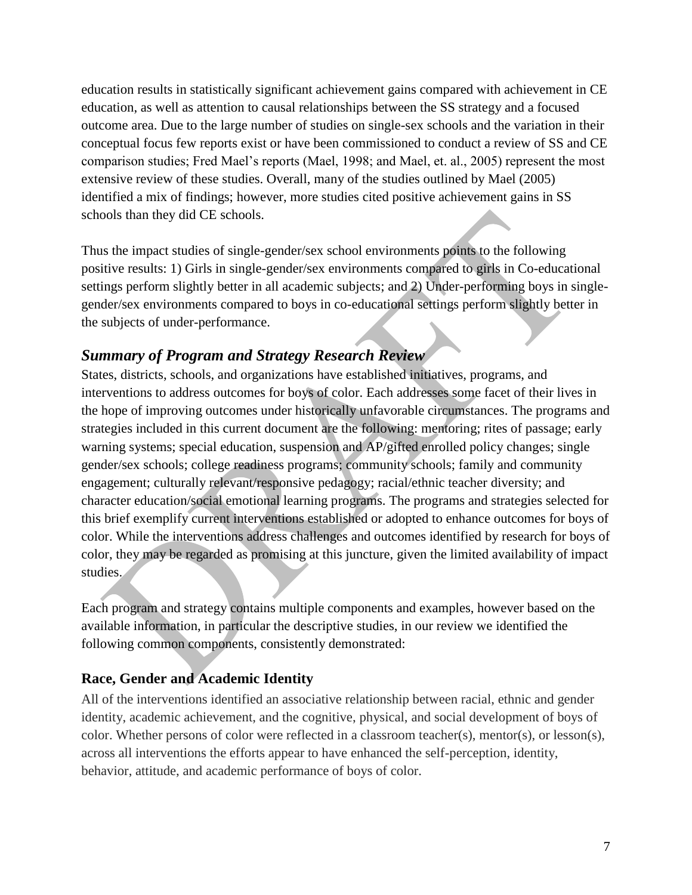education results in statistically significant achievement gains compared with achievement in CE education, as well as attention to causal relationships between the SS strategy and a focused outcome area. Due to the large number of studies on single-sex schools and the variation in their conceptual focus few reports exist or have been commissioned to conduct a review of SS and CE comparison studies; Fred Mael's reports (Mael, 1998; and Mael, et. al., 2005) represent the most extensive review of these studies. Overall, many of the studies outlined by Mael (2005) identified a mix of findings; however, more studies cited positive achievement gains in SS schools than they did CE schools.

Thus the impact studies of single-gender/sex school environments points to the following positive results: 1) Girls in single-gender/sex environments compared to girls in Co-educational settings perform slightly better in all academic subjects; and 2) Under-performing boys in singlegender/sex environments compared to boys in co-educational settings perform slightly better in the subjects of under-performance.

# *Summary of Program and Strategy Research Review*

States, districts, schools, and organizations have established initiatives, programs, and interventions to address outcomes for boys of color. Each addresses some facet of their lives in the hope of improving outcomes under historically unfavorable circumstances. The programs and strategies included in this current document are the following: mentoring; rites of passage; early warning systems; special education, suspension and AP/gifted enrolled policy changes; single gender/sex schools; college readiness programs; community schools; family and community engagement; culturally relevant/responsive pedagogy; racial/ethnic teacher diversity; and character education/social emotional learning programs. The programs and strategies selected for this brief exemplify current interventions established or adopted to enhance outcomes for boys of color. While the interventions address challenges and outcomes identified by research for boys of color, they may be regarded as promising at this juncture, given the limited availability of impact studies.

Each program and strategy contains multiple components and examples, however based on the available information, in particular the descriptive studies, in our review we identified the following common components, consistently demonstrated:

## **Race, Gender and Academic Identity**

All of the interventions identified an associative relationship between racial, ethnic and gender identity, academic achievement, and the cognitive, physical, and social development of boys of color. Whether persons of color were reflected in a classroom teacher(s), mentor(s), or lesson(s), across all interventions the efforts appear to have enhanced the self-perception, identity, behavior, attitude, and academic performance of boys of color.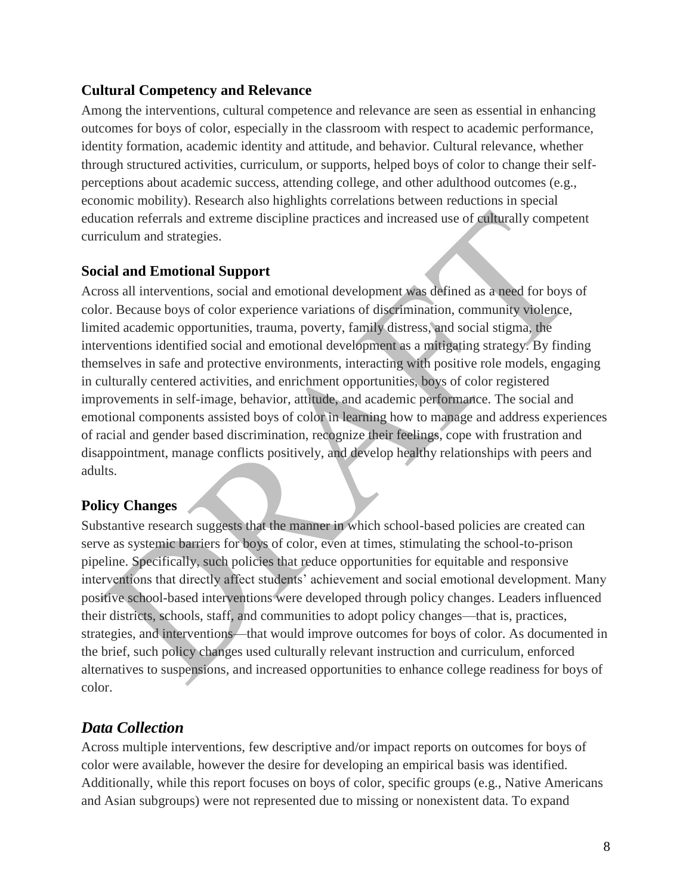### **Cultural Competency and Relevance**

Among the interventions, cultural competence and relevance are seen as essential in enhancing outcomes for boys of color, especially in the classroom with respect to academic performance, identity formation, academic identity and attitude, and behavior. Cultural relevance, whether through structured activities, curriculum, or supports, helped boys of color to change their selfperceptions about academic success, attending college, and other adulthood outcomes (e.g., economic mobility). Research also highlights correlations between reductions in special education referrals and extreme discipline practices and increased use of culturally competent curriculum and strategies.

### **Social and Emotional Support**

Across all interventions, social and emotional development was defined as a need for boys of color. Because boys of color experience variations of discrimination, community violence, limited academic opportunities, trauma, poverty, family distress, and social stigma, the interventions identified social and emotional development as a mitigating strategy. By finding themselves in safe and protective environments, interacting with positive role models, engaging in culturally centered activities, and enrichment opportunities, boys of color registered improvements in self-image, behavior, attitude, and academic performance. The social and emotional components assisted boys of color in learning how to manage and address experiences of racial and gender based discrimination, recognize their feelings, cope with frustration and disappointment, manage conflicts positively, and develop healthy relationships with peers and adults.

## **Policy Changes**

Substantive research suggests that the manner in which school-based policies are created can serve as systemic barriers for boys of color, even at times, stimulating the school-to-prison pipeline. Specifically, such policies that reduce opportunities for equitable and responsive interventions that directly affect students' achievement and social emotional development. Many positive school-based interventions were developed through policy changes. Leaders influenced their districts, schools, staff, and communities to adopt policy changes—that is, practices, strategies, and interventions—that would improve outcomes for boys of color. As documented in the brief, such policy changes used culturally relevant instruction and curriculum, enforced alternatives to suspensions, and increased opportunities to enhance college readiness for boys of color.

# *Data Collection*

Across multiple interventions, few descriptive and/or impact reports on outcomes for boys of color were available, however the desire for developing an empirical basis was identified. Additionally, while this report focuses on boys of color, specific groups (e.g., Native Americans and Asian subgroups) were not represented due to missing or nonexistent data. To expand